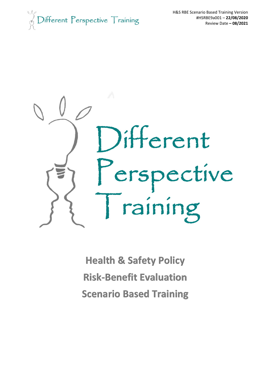$\mathbb{R}$  Different Perspective Training



**Health & Safety Policy Risk-Benefit Evaluation Scenario Based Training**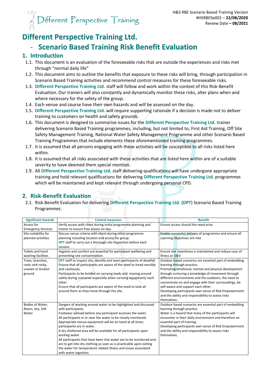

## **Different Perspective Training Ltd.**

## - **Scenario Based Training Risk Benefit Evaluation**

#### **1. Introduction**

- 1.1. This document is an evaluation of the foreseeable risks that are outside the experiences and risks met through "normal daily life"
- 1.2. This document aims to outline the benefits that exposure to these risks will bring, through participation in Scenario Based Training activities and recommend control measures for these foreseeable risks.
- 1.3. **Different Perspective Training Ltd.** staff will follow and work within the context of this Risk-Benefit Evaluation. Our trainers will also constantly and dynamically monitor these risks, alter plans when and where necessary for the safety of the group.
- 1.4. Each venue and course have their own hazards and will be assessed on the day.
- 1.5. **Different Perspective Training Ltd.** will require supporting rationale if a decision is made not to deliver training to customers on health and safety grounds.
- 1.6. This document is designed to summarise issues for the **Different Perspective Training Ltd.** trainer delivering Scenario Based Training programmes, including, but not limited to; First Aid Training, Off Site Safety Management Training, National Water Safety Management Programme and other Scenario Based Training Programmes that include elements these aforementioned training programmes.
- 1.7. It is assumed that all persons engaging with these activities will be susceptible to all risks listed here within.
- 1.8. It is assumed that all risks associated with these activities that are listed here within are of a suitable severity to have deemed them special mention.
- 1.9. All **Different Perspective Training Ltd.** staff delivering qualifications will have undergone appropriate training and hold relevant qualifications for delivering **Different Perspective Training Ltd.** programmes which will be maintained and kept relevant through undergoing personal CPD.

### **2. Risk-Benefit Evaluation**

2.1. Risk-Benefit Evaluation for delivering **Different Perspective Training Ltd.** (**DPT**) Scenario Based Training Programmes.

| <b>Significant Hazards</b> | <b>Control measures</b>                                                       | <b>Benefit</b>                                           |
|----------------------------|-------------------------------------------------------------------------------|----------------------------------------------------------|
| Access for                 | Verify access with client during initial programme planning and               | Ensure access should the need arise                      |
| <b>Emergency Services</b>  | trainer to ensure free access on day.                                         |                                                          |
| Site suitability for       | Discuss venue criteria with client during initial programme                   | Enable successful delivery of programme and ensure all   |
| planned activities         | planning including location and access for group.                             | Learning Objectives are met                              |
|                            | <b>DPT</b> staff to carry out a thorough site inspection before each          |                                                          |
|                            | session.                                                                      |                                                          |
| Toilets and hand           | Hygiene and comfort are essential for participant wellbeing and               | Ensure site cleanliness is maintained and reduce case of |
| washing facilities         | preventing site contamination.                                                | illness or D&V                                           |
| Trees, branches,           | <b>DPT</b> staff to inspect site, identify and warn participants of deadfall. | Outdoor based scenarios are essential part of embedding  |
| roots and rocky,           | Ensure that all participants are aware of the need to tread sensibly          | learning through practice.                               |
| uneven or broken           | and cautiously.                                                               | Promoting emotional, mental and physical development     |
| ground                     | Participants to be briefed on carrying loads and moving around                | through nurturing a knowledge of movement through        |
|                            | safely during scenarios especially when carrying equipment/ each              | different environments and the outdoors, the need to     |
|                            | other.                                                                        | concentrate on and engage with their surroundings, be    |
|                            | Ensure that all participants are aware of the need to look all                | self-aware and support each other.                       |
|                            | around them as they move through the site.                                    | Developing participants own sense of Risk Empowerment    |
|                            |                                                                               | and the ability and responsibility to assess risks       |
|                            |                                                                               | themselves.                                              |
| Bodies of Water,           | Dangers of working around water to be highlighted and discussed               | Outdoor based scenarios are essential part of embedding  |
| Rivers, Sea, Still         | with participants.                                                            | learning through practice.                               |
| Water                      | Footwear advised before any participant accesses the water.                   | Water is a hazard that many of the participants will     |
|                            | All participants in or near the water to be closely monitored.                | encounter in their daily environment and therefore an    |
|                            | Appropriate rescue equipment will be on hand at all times                     | essential part of training.                              |
|                            | participants are in water.                                                    | Developing participants own sense of Risk Empowerment    |
|                            | A dry sheltered area will be available for all participants upon              | and the ability and responsibility to assess risks       |
|                            | exciting water.                                                               | themselves.                                              |
|                            | All participants that have been into water are to be monitored and            |                                                          |
|                            | are to get into dry clothing as soon as is practicable upon exiting           |                                                          |
|                            | the water for temperature related illness and issues associated               |                                                          |
|                            | with water ingestion.                                                         |                                                          |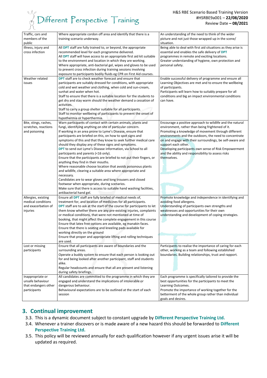# $\frac{1}{\sqrt{2}}$  Different Perspective Training

#### H&S RBE Scenario Based Training Version #HSRBE9a001 – **22/08/2020** Review Date **– 08/2021**

| Traffic, cars and<br>members of the<br>public                                | Where appropriate cordon off area and identify that there is a<br>training scenario underway.                                                                                                                                                                                                                                                                                                                                                                                                                                                                                                                                                                                                                                                                                                                                                                                                                                                                                      | An understanding of the need to think of the wider<br>picture and not just those wrapped up in the scene/<br>situation.                                                                                                                                                                                                                                                                                                                         |
|------------------------------------------------------------------------------|------------------------------------------------------------------------------------------------------------------------------------------------------------------------------------------------------------------------------------------------------------------------------------------------------------------------------------------------------------------------------------------------------------------------------------------------------------------------------------------------------------------------------------------------------------------------------------------------------------------------------------------------------------------------------------------------------------------------------------------------------------------------------------------------------------------------------------------------------------------------------------------------------------------------------------------------------------------------------------|-------------------------------------------------------------------------------------------------------------------------------------------------------------------------------------------------------------------------------------------------------------------------------------------------------------------------------------------------------------------------------------------------------------------------------------------------|
| Illness, injury and<br>cross infection                                       | All DPT staff are fully trained to, or beyond, the appropriate<br>recommended level for each programme delivered.<br>All DPT staff will have access to an appropriate first aid kit suitable<br>to the environment and location in which they are working.<br>Where appropriate, anti-bacterial gel, wipes and gloves to be used<br>to prevent cross infection during training sessions involving<br>exposure to participants bodily fluids eg CPR on First Aid courses.                                                                                                                                                                                                                                                                                                                                                                                                                                                                                                           | Being able to deal with first aid situations as they arise is<br>essential and enables the safe delivery of <b>DPT</b><br>programmes in remote and exciting locations.<br>Greater understanding of hygiene, own protection and<br>personal safety.                                                                                                                                                                                              |
| Weather related<br>issues                                                    | <b>DPT</b> staff are to check weather forecast and ensure that<br>participants are suitably dressed for conditions, with appropriate<br>cold and wet weather and clothing, when cold and sun-cream,<br>sunhat and water when hot.<br>Staff to ensure that there is a suitable location for the students to<br>get dry and stay warm should the weather demand a cessation of<br>activities.<br>Staff to carry a group shelter suitable for all participants.<br>Staff to monitor wellbeing of participants to prevent the onset of<br>hypothermia or hyperthermia.                                                                                                                                                                                                                                                                                                                                                                                                                 | Enable successful delivery of programme and ensure all<br>Learning Objectives are met and to ensure the wellbeing<br>of participants.<br>Participants will learn how to suitably prepare for all<br>conditions and big an impact environmental conditions<br>can have.                                                                                                                                                                          |
| Bite, stings, rashes,<br>scratches, reactions<br>and poisoning               | Warn participants of contact with certain animals, plants and<br>fungi, identifying anything on site of particular concern.<br>If working in an area prone to Lyme's Disease, ensure that<br>participants are briefed on this, on how to spot signs and<br>symptoms of this and that they know to seek further medical care<br>should they display any of these signs and symptoms.<br><b>DPT</b> to send out Lyme's Disease information, via School to all<br>participants and parents (<16 only).<br>Ensure that the participants are briefed to not put their fingers, or<br>anything they find in their mouths.<br>Where reasonable choose location that avoids poisonous plants<br>and wildlife, clearing a suitable area where appropriate and<br>necessary.<br>Candidates are to wear gloves and long trousers and closed<br>footwear when appropriate, during scenarios.<br>Make sure that there is access to suitable hand washing facilities,<br>antibacterial hand gel. | Encourage a positive approach to wildlife and the natural<br>environment, rather than being frightened of it.<br>Promoting a knowledge of movement through different<br>environments and the outdoors, the need to concentrate<br>on and engage with their surroundings, be self-aware and<br>support each other.<br>Developing participants own sense of Risk Empowerment<br>and the ability and responsibility to assess risks<br>themselves. |
| Allergies, existing<br>medical conditions<br>and exacerbation of<br>injuries | Ensure all DPT staff are fully briefed of medical needs of,<br>treatment for, and location of medicines for all participants.<br><b>DPT</b> staff are to ask at the start of the course for participants to let<br>them know whether there are any pre-existing injuries, complaints<br>or medical conditions, that were not mentioned at time of<br>booking, that might affect the complete engagement in this course<br>Ensure that latex free options are available, eg manakin faces.<br>Ensure that there is seating and kneeling pads available for<br>working directly on the ground<br>Ensure that proper and appropriate lifting and rolling techniques<br>are used.                                                                                                                                                                                                                                                                                                      | Promote knowledge and independence in identifying and<br>avoiding food allergens.<br>Understanding of participants own strengths and<br>weaknesses and opportunities for their own<br>understanding and development of coping strategies.                                                                                                                                                                                                       |
| Lost or missing<br>participants                                              | Ensure that all participants are aware of boundaries and the<br>surrounding areas.<br>Operate a buddy system to ensure that each person is looking out<br>for and being looked after another participant, staff and students<br>alike.<br>Regular headcounts and ensure that all are present and listening<br>during safety briefings.                                                                                                                                                                                                                                                                                                                                                                                                                                                                                                                                                                                                                                             | Participants to realise the importance of caring for each<br>other, working as a team and following established<br>boundaries. Building relationships, trust and rapport.                                                                                                                                                                                                                                                                       |
| Inappropriate or<br>unsafe behaviour<br>that endangers other<br>participants | All candidates are committed to the programme in which they are<br>engaged and understand the implications of intolerable or<br>dangerous behaviour.<br>Behavioural expectations are to be outlined at the start of each<br>session                                                                                                                                                                                                                                                                                                                                                                                                                                                                                                                                                                                                                                                                                                                                                | Each programme is specifically tailored to provide the<br>best opportunities for the participants to meet the<br>Learning Outcomes.<br>Promote the importance of working together for the<br>betterment of the whole group rather than individual<br>goals and desires.                                                                                                                                                                         |

#### **3. Continual improvement**

- 3.3. This is a dynamic document subject to constant upgrade by **Different Perspective Training Ltd.**
- 3.4. Whenever a trainer discovers or is made aware of a new hazard this should be forwarded to **Different Perspective Training Ltd.**
- 3.5. This policy will be reviewed annually for each qualification however if any urgent issues arise it will be updated as required.